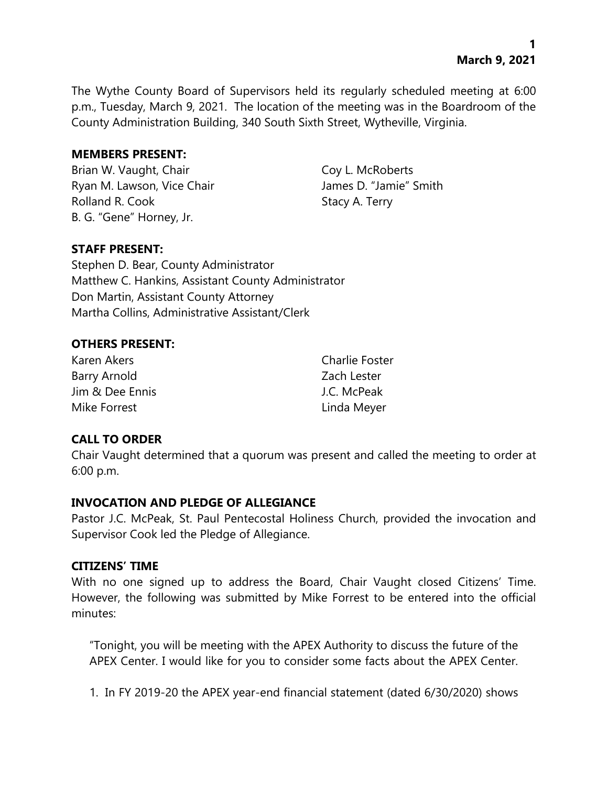The Wythe County Board of Supervisors held its regularly scheduled meeting at 6:00 p.m., Tuesday, March 9, 2021. The location of the meeting was in the Boardroom of the County Administration Building, 340 South Sixth Street, Wytheville, Virginia.

#### **MEMBERS PRESENT:**

Brian W. Vaught, Chair Coy L. McRoberts Ryan M. Lawson, Vice Chair **James D. "Jamie"** Smith Rolland R. Cook Stacy A. Terry B. G. "Gene" Horney, Jr.

## **STAFF PRESENT:**

Stephen D. Bear, County Administrator Matthew C. Hankins, Assistant County Administrator Don Martin, Assistant County Attorney Martha Collins, Administrative Assistant/Clerk

#### **OTHERS PRESENT:**

| Karen Akers     | <b>Charlie Foster</b> |
|-----------------|-----------------------|
| Barry Arnold    | Zach Lester           |
| Jim & Dee Ennis | J.C. McPeak           |
| Mike Forrest    | Linda Meyer           |

## **CALL TO ORDER**

Chair Vaught determined that a quorum was present and called the meeting to order at 6:00 p.m.

## **INVOCATION AND PLEDGE OF ALLEGIANCE**

Pastor J.C. McPeak, St. Paul Pentecostal Holiness Church, provided the invocation and Supervisor Cook led the Pledge of Allegiance.

#### **CITIZENS' TIME**

With no one signed up to address the Board, Chair Vaught closed Citizens' Time. However, the following was submitted by Mike Forrest to be entered into the official minutes:

"Tonight, you will be meeting with the APEX Authority to discuss the future of the APEX Center. I would like for you to consider some facts about the APEX Center.

1. In FY 2019-20 the APEX year-end financial statement (dated 6/30/2020) shows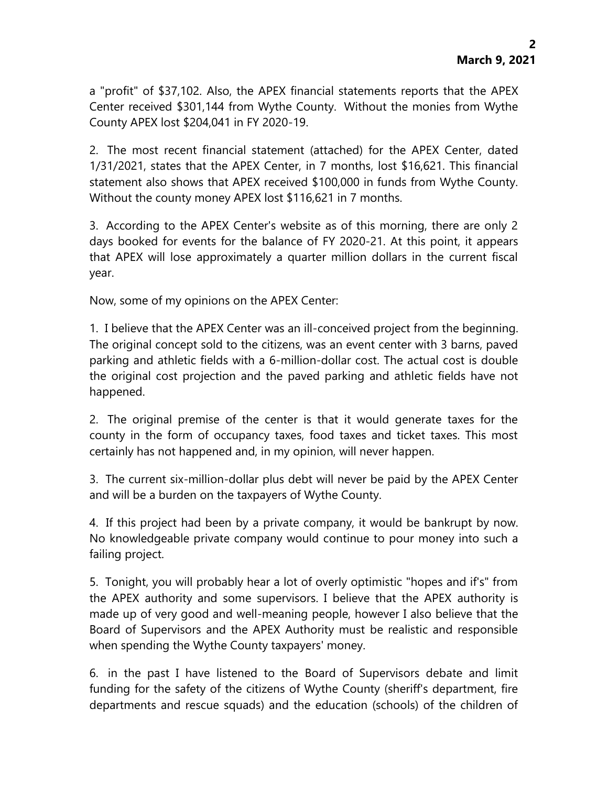a "profit" of \$37,102. Also, the APEX financial statements reports that the APEX Center received \$301,144 from Wythe County. Without the monies from Wythe County APEX lost \$204,041 in FY 2020-19.

2. The most recent financial statement (attached) for the APEX Center, dated 1/31/2021, states that the APEX Center, in 7 months, lost \$16,621. This financial statement also shows that APEX received \$100,000 in funds from Wythe County. Without the county money APEX lost \$116,621 in 7 months.

3. According to the APEX Center's website as of this morning, there are only 2 days booked for events for the balance of FY 2020-21. At this point, it appears that APEX will lose approximately a quarter million dollars in the current fiscal year.

Now, some of my opinions on the APEX Center:

1. I believe that the APEX Center was an ill-conceived project from the beginning. The original concept sold to the citizens, was an event center with 3 barns, paved parking and athletic fields with a 6-million-dollar cost. The actual cost is double the original cost projection and the paved parking and athletic fields have not happened.

2. The original premise of the center is that it would generate taxes for the county in the form of occupancy taxes, food taxes and ticket taxes. This most certainly has not happened and, in my opinion, will never happen.

3. The current six-million-dollar plus debt will never be paid by the APEX Center and will be a burden on the taxpayers of Wythe County.

4. If this project had been by a private company, it would be bankrupt by now. No knowledgeable private company would continue to pour money into such a failing project.

5. Tonight, you will probably hear a lot of overly optimistic "hopes and if's" from the APEX authority and some supervisors. I believe that the APEX authority is made up of very good and well-meaning people, however I also believe that the Board of Supervisors and the APEX Authority must be realistic and responsible when spending the Wythe County taxpayers' money.

6. in the past I have listened to the Board of Supervisors debate and limit funding for the safety of the citizens of Wythe County (sheriff's department, fire departments and rescue squads) and the education (schools) of the children of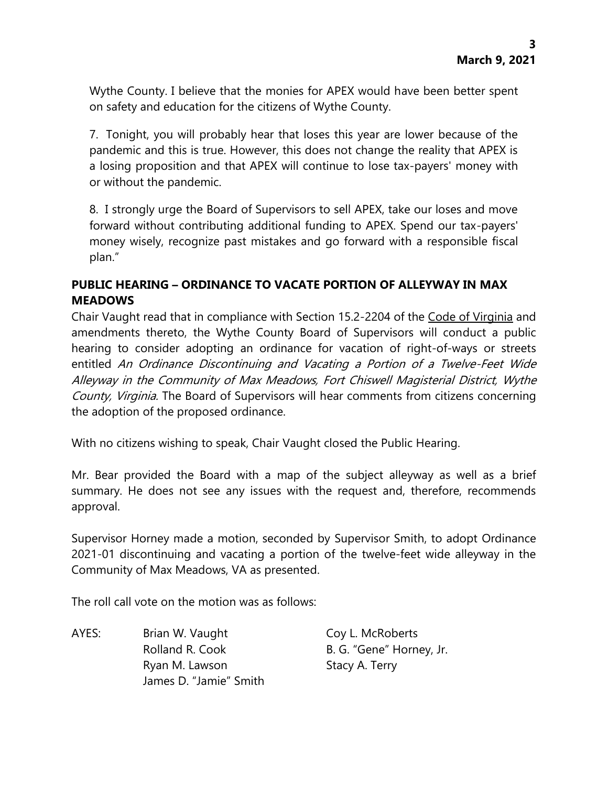Wythe County. I believe that the monies for APEX would have been better spent on safety and education for the citizens of Wythe County.

7. Tonight, you will probably hear that loses this year are lower because of the pandemic and this is true. However, this does not change the reality that APEX is a losing proposition and that APEX will continue to lose tax-payers' money with or without the pandemic.

8. I strongly urge the Board of Supervisors to sell APEX, take our loses and move forward without contributing additional funding to APEX. Spend our tax-payers' money wisely, recognize past mistakes and go forward with a responsible fiscal plan."

# **PUBLIC HEARING – ORDINANCE TO VACATE PORTION OF ALLEYWAY IN MAX MEADOWS**

Chair Vaught read that in compliance with Section 15.2-2204 of the Code of Virginia and amendments thereto, the Wythe County Board of Supervisors will conduct a public hearing to consider adopting an ordinance for vacation of right-of-ways or streets entitled An Ordinance Discontinuing and Vacating a Portion of a Twelve-Feet Wide Alleyway in the Community of Max Meadows, Fort Chiswell Magisterial District, Wythe County, Virginia. The Board of Supervisors will hear comments from citizens concerning the adoption of the proposed ordinance.

With no citizens wishing to speak, Chair Vaught closed the Public Hearing.

Mr. Bear provided the Board with a map of the subject alleyway as well as a brief summary. He does not see any issues with the request and, therefore, recommends approval.

Supervisor Horney made a motion, seconded by Supervisor Smith, to adopt Ordinance 2021-01 discontinuing and vacating a portion of the twelve-feet wide alleyway in the Community of Max Meadows, VA as presented.

The roll call vote on the motion was as follows:

AYES: Brian W. Vaught Coy L. McRoberts Rolland R. Cook B. G. "Gene" Horney, Jr. Ryan M. Lawson Stacy A. Terry James D. "Jamie" Smith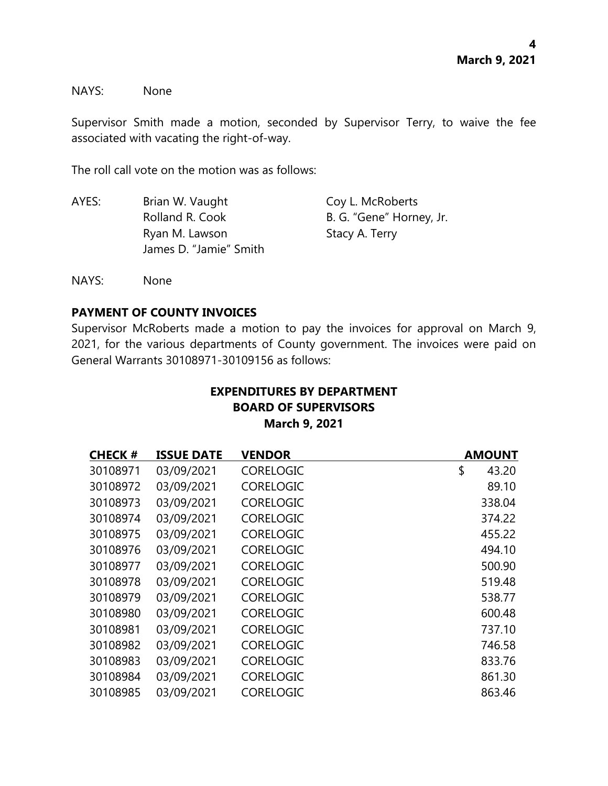NAYS: None

Supervisor Smith made a motion, seconded by Supervisor Terry, to waive the fee associated with vacating the right-of-way.

The roll call vote on the motion was as follows:

| AYES: | Brian W. Vaught        | Coy L. McRoberts         |
|-------|------------------------|--------------------------|
|       | Rolland R. Cook        | B. G. "Gene" Horney, Jr. |
|       | Ryan M. Lawson         | Stacy A. Terry           |
|       | James D. "Jamie" Smith |                          |

NAYS: None

## **PAYMENT OF COUNTY INVOICES**

Supervisor McRoberts made a motion to pay the invoices for approval on March 9, 2021, for the various departments of County government. The invoices were paid on General Warrants 30108971-30109156 as follows:

# **EXPENDITURES BY DEPARTMENT BOARD OF SUPERVISORS March 9, 2021**

| <b>CHECK#</b> | <b>ISSUE DATE</b> | <b>VENDOR</b>    | <b>AMOUNT</b> |
|---------------|-------------------|------------------|---------------|
| 30108971      | 03/09/2021        | <b>CORELOGIC</b> | \$<br>43.20   |
| 30108972      | 03/09/2021        | <b>CORELOGIC</b> | 89.10         |
| 30108973      | 03/09/2021        | <b>CORELOGIC</b> | 338.04        |
| 30108974      | 03/09/2021        | <b>CORELOGIC</b> | 374.22        |
| 30108975      | 03/09/2021        | <b>CORELOGIC</b> | 455.22        |
| 30108976      | 03/09/2021        | <b>CORELOGIC</b> | 494.10        |
| 30108977      | 03/09/2021        | <b>CORELOGIC</b> | 500.90        |
| 30108978      | 03/09/2021        | <b>CORELOGIC</b> | 519.48        |
| 30108979      | 03/09/2021        | <b>CORELOGIC</b> | 538.77        |
| 30108980      | 03/09/2021        | <b>CORELOGIC</b> | 600.48        |
| 30108981      | 03/09/2021        | <b>CORELOGIC</b> | 737.10        |
| 30108982      | 03/09/2021        | <b>CORELOGIC</b> | 746.58        |
| 30108983      | 03/09/2021        | <b>CORELOGIC</b> | 833.76        |
| 30108984      | 03/09/2021        | <b>CORELOGIC</b> | 861.30        |
| 30108985      | 03/09/2021        | <b>CORELOGIC</b> | 863.46        |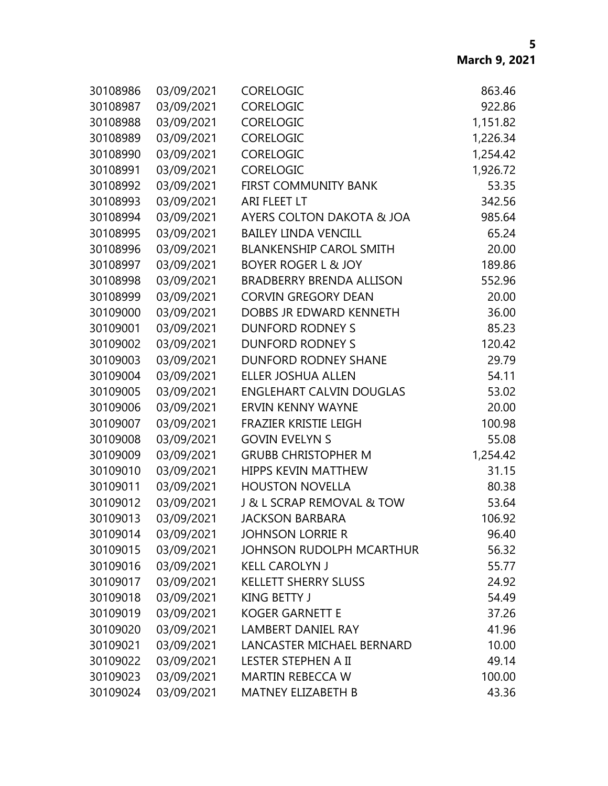| 30108986 | 03/09/2021 | <b>CORELOGIC</b>                | 863.46   |
|----------|------------|---------------------------------|----------|
| 30108987 | 03/09/2021 | CORELOGIC                       | 922.86   |
| 30108988 | 03/09/2021 | <b>CORELOGIC</b>                | 1,151.82 |
| 30108989 | 03/09/2021 | CORELOGIC                       | 1,226.34 |
| 30108990 | 03/09/2021 | <b>CORELOGIC</b>                | 1,254.42 |
| 30108991 | 03/09/2021 | CORELOGIC                       | 1,926.72 |
| 30108992 | 03/09/2021 | FIRST COMMUNITY BANK            | 53.35    |
| 30108993 | 03/09/2021 | ARI FLEET LT                    | 342.56   |
| 30108994 | 03/09/2021 | AYERS COLTON DAKOTA & JOA       | 985.64   |
| 30108995 | 03/09/2021 | <b>BAILEY LINDA VENCILL</b>     | 65.24    |
| 30108996 | 03/09/2021 | <b>BLANKENSHIP CAROL SMITH</b>  | 20.00    |
| 30108997 | 03/09/2021 | <b>BOYER ROGER L &amp; JOY</b>  | 189.86   |
| 30108998 | 03/09/2021 | <b>BRADBERRY BRENDA ALLISON</b> | 552.96   |
| 30108999 | 03/09/2021 | <b>CORVIN GREGORY DEAN</b>      | 20.00    |
| 30109000 | 03/09/2021 | DOBBS JR EDWARD KENNETH         | 36.00    |
| 30109001 | 03/09/2021 | <b>DUNFORD RODNEY S</b>         | 85.23    |
| 30109002 | 03/09/2021 | <b>DUNFORD RODNEY S</b>         | 120.42   |
| 30109003 | 03/09/2021 | DUNFORD RODNEY SHANE            | 29.79    |
| 30109004 | 03/09/2021 | <b>ELLER JOSHUA ALLEN</b>       | 54.11    |
| 30109005 | 03/09/2021 | <b>ENGLEHART CALVIN DOUGLAS</b> | 53.02    |
| 30109006 | 03/09/2021 | <b>ERVIN KENNY WAYNE</b>        | 20.00    |
| 30109007 | 03/09/2021 | FRAZIER KRISTIE LEIGH           | 100.98   |
| 30109008 | 03/09/2021 | <b>GOVIN EVELYN S</b>           | 55.08    |
| 30109009 | 03/09/2021 | <b>GRUBB CHRISTOPHER M</b>      | 1,254.42 |
| 30109010 | 03/09/2021 | <b>HIPPS KEVIN MATTHEW</b>      | 31.15    |
| 30109011 | 03/09/2021 | <b>HOUSTON NOVELLA</b>          | 80.38    |
| 30109012 | 03/09/2021 | J & L SCRAP REMOVAL & TOW       | 53.64    |
| 30109013 | 03/09/2021 | <b>JACKSON BARBARA</b>          | 106.92   |
| 30109014 | 03/09/2021 | <b>JOHNSON LORRIE R</b>         | 96.40    |
| 30109015 | 03/09/2021 | JOHNSON RUDOLPH MCARTHUR        | 56.32    |
| 30109016 | 03/09/2021 | <b>KELL CAROLYN J</b>           | 55.77    |
| 30109017 | 03/09/2021 | <b>KELLETT SHERRY SLUSS</b>     | 24.92    |
| 30109018 | 03/09/2021 | <b>KING BETTY J</b>             | 54.49    |
| 30109019 | 03/09/2021 | <b>KOGER GARNETT E</b>          | 37.26    |
| 30109020 | 03/09/2021 | <b>LAMBERT DANIEL RAY</b>       | 41.96    |
| 30109021 | 03/09/2021 | LANCASTER MICHAEL BERNARD       | 10.00    |
| 30109022 | 03/09/2021 | LESTER STEPHEN A II             | 49.14    |
| 30109023 | 03/09/2021 | <b>MARTIN REBECCA W</b>         | 100.00   |
| 30109024 | 03/09/2021 | <b>MATNEY ELIZABETH B</b>       | 43.36    |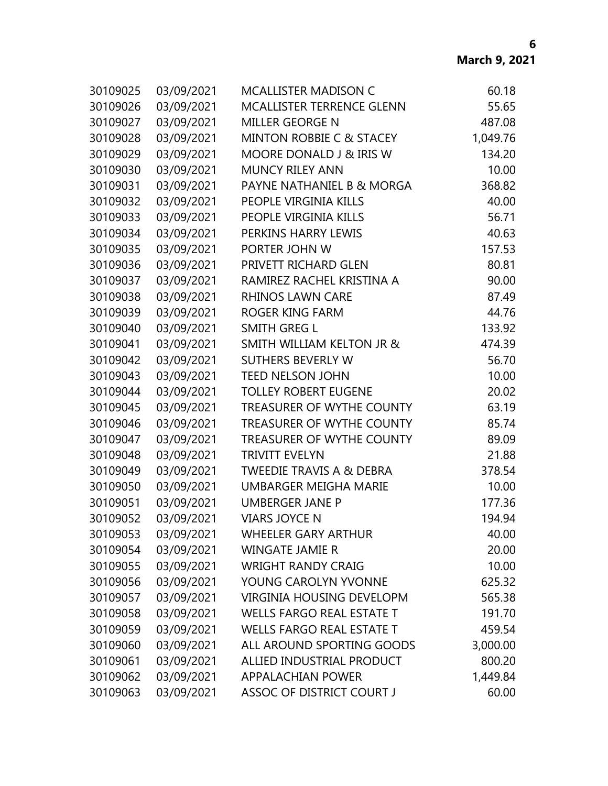| 30109025 | 03/09/2021 | <b>MCALLISTER MADISON C</b>          | 60.18    |
|----------|------------|--------------------------------------|----------|
| 30109026 | 03/09/2021 | <b>MCALLISTER TERRENCE GLENN</b>     | 55.65    |
| 30109027 | 03/09/2021 | <b>MILLER GEORGE N</b>               | 487.08   |
| 30109028 | 03/09/2021 | <b>MINTON ROBBIE C &amp; STACEY</b>  | 1,049.76 |
| 30109029 | 03/09/2021 | MOORE DONALD J & IRIS W              | 134.20   |
| 30109030 | 03/09/2021 | <b>MUNCY RILEY ANN</b>               | 10.00    |
| 30109031 | 03/09/2021 | PAYNE NATHANIEL B & MORGA            | 368.82   |
| 30109032 | 03/09/2021 | PEOPLE VIRGINIA KILLS                | 40.00    |
| 30109033 | 03/09/2021 | PEOPLE VIRGINIA KILLS                | 56.71    |
| 30109034 | 03/09/2021 | PERKINS HARRY LEWIS                  | 40.63    |
| 30109035 | 03/09/2021 | PORTER JOHN W                        | 157.53   |
| 30109036 | 03/09/2021 | PRIVETT RICHARD GLEN                 | 80.81    |
| 30109037 | 03/09/2021 | RAMIREZ RACHEL KRISTINA A            | 90.00    |
| 30109038 | 03/09/2021 | <b>RHINOS LAWN CARE</b>              | 87.49    |
| 30109039 | 03/09/2021 | ROGER KING FARM                      | 44.76    |
| 30109040 | 03/09/2021 | <b>SMITH GREG L</b>                  | 133.92   |
| 30109041 | 03/09/2021 | <b>SMITH WILLIAM KELTON JR &amp;</b> | 474.39   |
| 30109042 | 03/09/2021 | <b>SUTHERS BEVERLY W</b>             | 56.70    |
| 30109043 | 03/09/2021 | <b>TEED NELSON JOHN</b>              | 10.00    |
| 30109044 | 03/09/2021 | <b>TOLLEY ROBERT EUGENE</b>          | 20.02    |
| 30109045 | 03/09/2021 | TREASURER OF WYTHE COUNTY            | 63.19    |
| 30109046 | 03/09/2021 | <b>TREASURER OF WYTHE COUNTY</b>     | 85.74    |
| 30109047 | 03/09/2021 | <b>TREASURER OF WYTHE COUNTY</b>     | 89.09    |
| 30109048 | 03/09/2021 | <b>TRIVITT EVELYN</b>                | 21.88    |
| 30109049 | 03/09/2021 | <b>TWEEDIE TRAVIS A &amp; DEBRA</b>  | 378.54   |
| 30109050 | 03/09/2021 | <b>UMBARGER MEIGHA MARIE</b>         | 10.00    |
| 30109051 | 03/09/2021 | <b>UMBERGER JANE P</b>               | 177.36   |
| 30109052 | 03/09/2021 | <b>VIARS JOYCE N</b>                 | 194.94   |
| 30109053 | 03/09/2021 | WHEELER GARY ARTHUR                  | 40.00    |
| 30109054 | 03/09/2021 | WINGATE JAMIE R                      | 20.00    |
| 30109055 | 03/09/2021 | <b>WRIGHT RANDY CRAIG</b>            | 10.00    |
| 30109056 | 03/09/2021 | YOUNG CAROLYN YVONNE                 | 625.32   |
| 30109057 | 03/09/2021 | <b>VIRGINIA HOUSING DEVELOPM</b>     | 565.38   |
| 30109058 | 03/09/2021 | <b>WELLS FARGO REAL ESTATE T</b>     | 191.70   |
| 30109059 | 03/09/2021 | <b>WELLS FARGO REAL ESTATE T</b>     | 459.54   |
| 30109060 | 03/09/2021 | ALL AROUND SPORTING GOODS            | 3,000.00 |
| 30109061 | 03/09/2021 | ALLIED INDUSTRIAL PRODUCT            | 800.20   |
| 30109062 | 03/09/2021 | <b>APPALACHIAN POWER</b>             | 1,449.84 |
| 30109063 | 03/09/2021 | ASSOC OF DISTRICT COURT J            | 60.00    |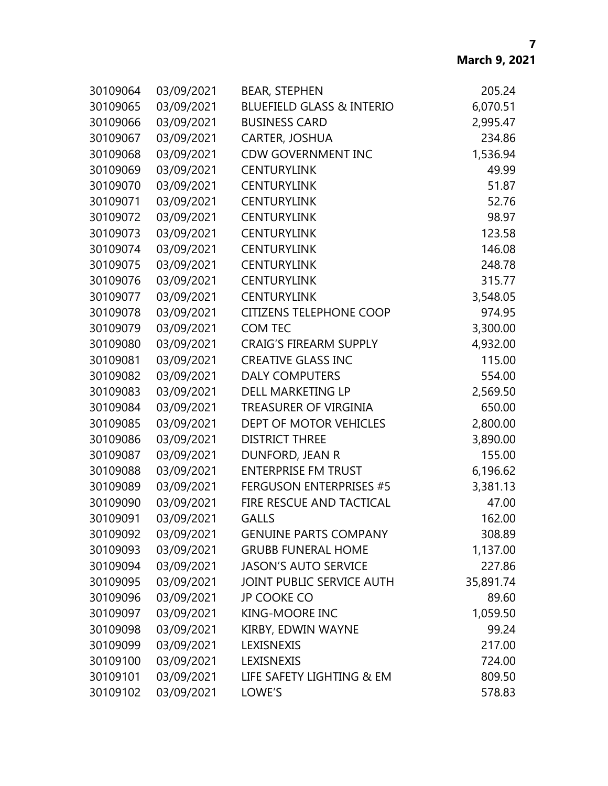| 30109064 | 03/09/2021 | <b>BEAR, STEPHEN</b>                 | 205.24    |
|----------|------------|--------------------------------------|-----------|
| 30109065 | 03/09/2021 | <b>BLUEFIELD GLASS &amp; INTERIO</b> | 6,070.51  |
| 30109066 | 03/09/2021 | <b>BUSINESS CARD</b>                 | 2,995.47  |
| 30109067 | 03/09/2021 | CARTER, JOSHUA                       | 234.86    |
| 30109068 | 03/09/2021 | <b>CDW GOVERNMENT INC</b>            | 1,536.94  |
| 30109069 | 03/09/2021 | <b>CENTURYLINK</b>                   | 49.99     |
| 30109070 | 03/09/2021 | <b>CENTURYLINK</b>                   | 51.87     |
| 30109071 | 03/09/2021 | <b>CENTURYLINK</b>                   | 52.76     |
| 30109072 | 03/09/2021 | <b>CENTURYLINK</b>                   | 98.97     |
| 30109073 | 03/09/2021 | <b>CENTURYLINK</b>                   | 123.58    |
| 30109074 | 03/09/2021 | <b>CENTURYLINK</b>                   | 146.08    |
| 30109075 | 03/09/2021 | <b>CENTURYLINK</b>                   | 248.78    |
| 30109076 | 03/09/2021 | <b>CENTURYLINK</b>                   | 315.77    |
| 30109077 | 03/09/2021 | <b>CENTURYLINK</b>                   | 3,548.05  |
| 30109078 | 03/09/2021 | <b>CITIZENS TELEPHONE COOP</b>       | 974.95    |
| 30109079 | 03/09/2021 | <b>COM TEC</b>                       | 3,300.00  |
| 30109080 | 03/09/2021 | <b>CRAIG'S FIREARM SUPPLY</b>        | 4,932.00  |
| 30109081 | 03/09/2021 | <b>CREATIVE GLASS INC</b>            | 115.00    |
| 30109082 | 03/09/2021 | <b>DALY COMPUTERS</b>                | 554.00    |
| 30109083 | 03/09/2021 | DELL MARKETING LP                    | 2,569.50  |
| 30109084 | 03/09/2021 | TREASURER OF VIRGINIA                | 650.00    |
| 30109085 | 03/09/2021 | DEPT OF MOTOR VEHICLES               | 2,800.00  |
| 30109086 | 03/09/2021 | <b>DISTRICT THREE</b>                | 3,890.00  |
| 30109087 | 03/09/2021 | DUNFORD, JEAN R                      | 155.00    |
| 30109088 | 03/09/2021 | <b>ENTERPRISE FM TRUST</b>           | 6,196.62  |
| 30109089 | 03/09/2021 | <b>FERGUSON ENTERPRISES #5</b>       | 3,381.13  |
| 30109090 | 03/09/2021 | FIRE RESCUE AND TACTICAL             | 47.00     |
| 30109091 | 03/09/2021 | <b>GALLS</b>                         | 162.00    |
| 30109092 | 03/09/2021 | <b>GENUINE PARTS COMPANY</b>         | 308.89    |
| 30109093 | 03/09/2021 | <b>GRUBB FUNERAL HOME</b>            | 1,137.00  |
| 30109094 | 03/09/2021 | <b>JASON'S AUTO SERVICE</b>          | 227.86    |
| 30109095 | 03/09/2021 | JOINT PUBLIC SERVICE AUTH            | 35,891.74 |
| 30109096 | 03/09/2021 | <b>JP COOKE CO</b>                   | 89.60     |
| 30109097 | 03/09/2021 | <b>KING-MOORE INC</b>                | 1,059.50  |
| 30109098 | 03/09/2021 | KIRBY, EDWIN WAYNE                   | 99.24     |
| 30109099 | 03/09/2021 | <b>LEXISNEXIS</b>                    | 217.00    |
| 30109100 | 03/09/2021 | LEXISNEXIS                           | 724.00    |
| 30109101 | 03/09/2021 | LIFE SAFETY LIGHTING & EM            | 809.50    |
| 30109102 | 03/09/2021 | LOWE'S                               | 578.83    |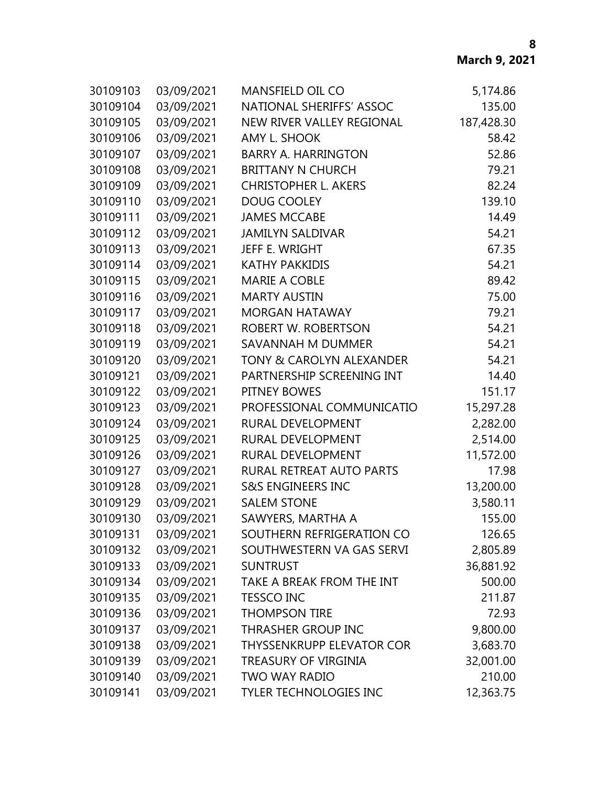| 30109103 | 03/09/2021 | <b>MANSFIELD OIL CO</b>             | 5,174.86   |
|----------|------------|-------------------------------------|------------|
| 30109104 | 03/09/2021 | NATIONAL SHERIFFS' ASSOC            | 135.00     |
| 30109105 | 03/09/2021 | NEW RIVER VALLEY REGIONAL           | 187,428.30 |
| 30109106 | 03/09/2021 | AMY L. SHOOK                        | 58.42      |
| 30109107 | 03/09/2021 | <b>BARRY A. HARRINGTON</b>          | 52.86      |
| 30109108 | 03/09/2021 | <b>BRITTANY N CHURCH</b>            | 79.21      |
| 30109109 | 03/09/2021 | <b>CHRISTOPHER L. AKERS</b>         | 82.24      |
| 30109110 | 03/09/2021 | <b>DOUG COOLEY</b>                  | 139.10     |
| 30109111 | 03/09/2021 | <b>JAMES MCCABE</b>                 | 14.49      |
| 30109112 | 03/09/2021 | <b>JAMILYN SALDIVAR</b>             | 54.21      |
| 30109113 | 03/09/2021 | JEFF E. WRIGHT                      | 67.35      |
| 30109114 | 03/09/2021 | <b>KATHY PAKKIDIS</b>               | 54.21      |
| 30109115 | 03/09/2021 | <b>MARIE A COBLE</b>                | 89.42      |
| 30109116 | 03/09/2021 | <b>MARTY AUSTIN</b>                 | 75.00      |
| 30109117 | 03/09/2021 | <b>MORGAN HATAWAY</b>               | 79.21      |
| 30109118 | 03/09/2021 | ROBERT W. ROBERTSON                 | 54.21      |
| 30109119 | 03/09/2021 | SAVANNAH M DUMMER                   | 54.21      |
| 30109120 | 03/09/2021 | <b>TONY &amp; CAROLYN ALEXANDER</b> | 54.21      |
| 30109121 | 03/09/2021 | PARTNERSHIP SCREENING INT           | 14.40      |
| 30109122 | 03/09/2021 | PITNEY BOWES                        | 151.17     |
| 30109123 | 03/09/2021 | PROFESSIONAL COMMUNICATIO           | 15,297.28  |
| 30109124 | 03/09/2021 | RURAL DEVELOPMENT                   | 2,282.00   |
| 30109125 | 03/09/2021 | RURAL DEVELOPMENT                   | 2,514.00   |
| 30109126 | 03/09/2021 | RURAL DEVELOPMENT                   | 11,572.00  |
| 30109127 | 03/09/2021 | RURAL RETREAT AUTO PARTS            | 17.98      |
| 30109128 | 03/09/2021 | <b>S&amp;S ENGINEERS INC</b>        | 13,200.00  |
| 30109129 | 03/09/2021 | <b>SALEM STONE</b>                  | 3,580.11   |
| 30109130 | 03/09/2021 | SAWYERS, MARTHA A                   | 155.00     |
| 30109131 | 03/09/2021 | SOUTHERN REFRIGERATION CO           | 126.65     |
| 30109132 | 03/09/2021 | SOUTHWESTERN VA GAS SERVI           | 2,805.89   |
| 30109133 | 03/09/2021 | <b>SUNTRUST</b>                     | 36,881.92  |
| 30109134 | 03/09/2021 | TAKE A BREAK FROM THE INT           | 500.00     |
| 30109135 | 03/09/2021 | <b>TESSCO INC</b>                   | 211.87     |
| 30109136 | 03/09/2021 | <b>THOMPSON TIRE</b>                | 72.93      |
| 30109137 | 03/09/2021 | THRASHER GROUP INC                  | 9,800.00   |
| 30109138 | 03/09/2021 | <b>THYSSENKRUPP ELEVATOR COR</b>    | 3,683.70   |
| 30109139 | 03/09/2021 | TREASURY OF VIRGINIA                | 32,001.00  |
| 30109140 | 03/09/2021 | <b>TWO WAY RADIO</b>                | 210.00     |
| 30109141 | 03/09/2021 | <b>TYLER TECHNOLOGIES INC</b>       | 12,363.75  |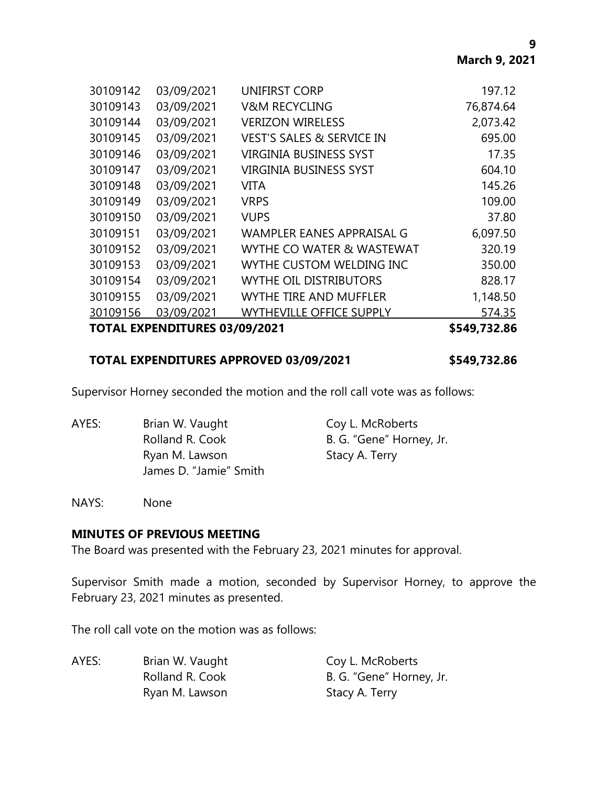|          | <b>TOTAL EXPENDITURES 03/09/2021</b> |                                      | \$549,732.86 |
|----------|--------------------------------------|--------------------------------------|--------------|
| 30109156 | 03/09/2021                           | <b>WYTHEVILLE OFFICE SUPPLY</b>      | 574.35       |
| 30109155 | 03/09/2021                           | <b>WYTHE TIRE AND MUFFLER</b>        | 1,148.50     |
| 30109154 | 03/09/2021                           | <b>WYTHE OIL DISTRIBUTORS</b>        | 828.17       |
| 30109153 | 03/09/2021                           | WYTHE CUSTOM WELDING INC             | 350.00       |
| 30109152 | 03/09/2021                           | WYTHE CO WATER & WASTEWAT            | 320.19       |
| 30109151 | 03/09/2021                           | <b>WAMPLER EANES APPRAISAL G</b>     | 6,097.50     |
| 30109150 | 03/09/2021                           | <b>VUPS</b>                          | 37.80        |
| 30109149 | 03/09/2021                           | <b>VRPS</b>                          | 109.00       |
| 30109148 | 03/09/2021                           | <b>VITA</b>                          | 145.26       |
| 30109147 | 03/09/2021                           | <b>VIRGINIA BUSINESS SYST</b>        | 604.10       |
| 30109146 | 03/09/2021                           | <b>VIRGINIA BUSINESS SYST</b>        | 17.35        |
| 30109145 | 03/09/2021                           | <b>VEST'S SALES &amp; SERVICE IN</b> | 695.00       |
| 30109144 | 03/09/2021                           | <b>VERIZON WIRELESS</b>              | 2,073.42     |
| 30109143 | 03/09/2021                           | <b>V&amp;M RECYCLING</b>             | 76,874.64    |
| 30109142 | 03/09/2021                           | UNIFIRST CORP                        | 197.12       |
|          |                                      |                                      |              |

## **TOTAL EXPENDITURES APPROVED 03/09/2021 \$549,732.86**

Supervisor Horney seconded the motion and the roll call vote was as follows:

| AYES: | Brian W. Vaught        | Coy L. McRoberts         |
|-------|------------------------|--------------------------|
|       | Rolland R. Cook        | B. G. "Gene" Horney, Jr. |
|       | Ryan M. Lawson         | Stacy A. Terry           |
|       | James D. "Jamie" Smith |                          |

NAYS: None

#### **MINUTES OF PREVIOUS MEETING**

The Board was presented with the February 23, 2021 minutes for approval.

Supervisor Smith made a motion, seconded by Supervisor Horney, to approve the February 23, 2021 minutes as presented.

The roll call vote on the motion was as follows:

| AYES: | Brian W. Vaught | Coy L. McRoberts         |
|-------|-----------------|--------------------------|
|       | Rolland R. Cook | B. G. "Gene" Horney, Jr. |
|       | Ryan M. Lawson  | Stacy A. Terry           |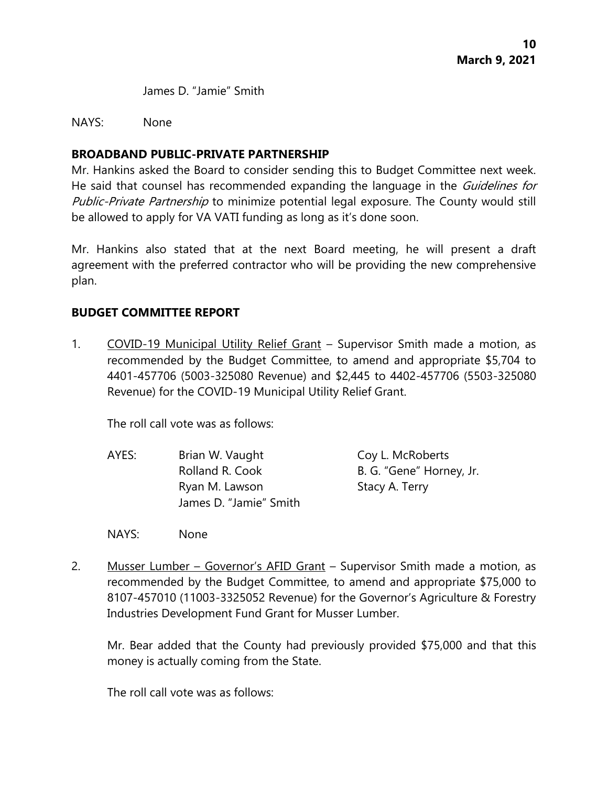James D. "Jamie" Smith

#### NAYS: None

## **BROADBAND PUBLIC-PRIVATE PARTNERSHIP**

Mr. Hankins asked the Board to consider sending this to Budget Committee next week. He said that counsel has recommended expanding the language in the *Guidelines for* Public-Private Partnership to minimize potential legal exposure. The County would still be allowed to apply for VA VATI funding as long as it's done soon.

Mr. Hankins also stated that at the next Board meeting, he will present a draft agreement with the preferred contractor who will be providing the new comprehensive plan.

# **BUDGET COMMITTEE REPORT**

1. COVID-19 Municipal Utility Relief Grant – Supervisor Smith made a motion, as recommended by the Budget Committee, to amend and appropriate \$5,704 to 4401-457706 (5003-325080 Revenue) and \$2,445 to 4402-457706 (5503-325080 Revenue) for the COVID-19 Municipal Utility Relief Grant.

The roll call vote was as follows:

- AYES: Brian W. Vaught Coy L. McRoberts Rolland R. Cook B. G. "Gene" Horney, Jr. Ryan M. Lawson Stacy A. Terry James D. "Jamie" Smith
- NAYS: None
- 2. Musser Lumber Governor's AFID Grant Supervisor Smith made a motion, as recommended by the Budget Committee, to amend and appropriate \$75,000 to 8107-457010 (11003-3325052 Revenue) for the Governor's Agriculture & Forestry Industries Development Fund Grant for Musser Lumber.

Mr. Bear added that the County had previously provided \$75,000 and that this money is actually coming from the State.

The roll call vote was as follows: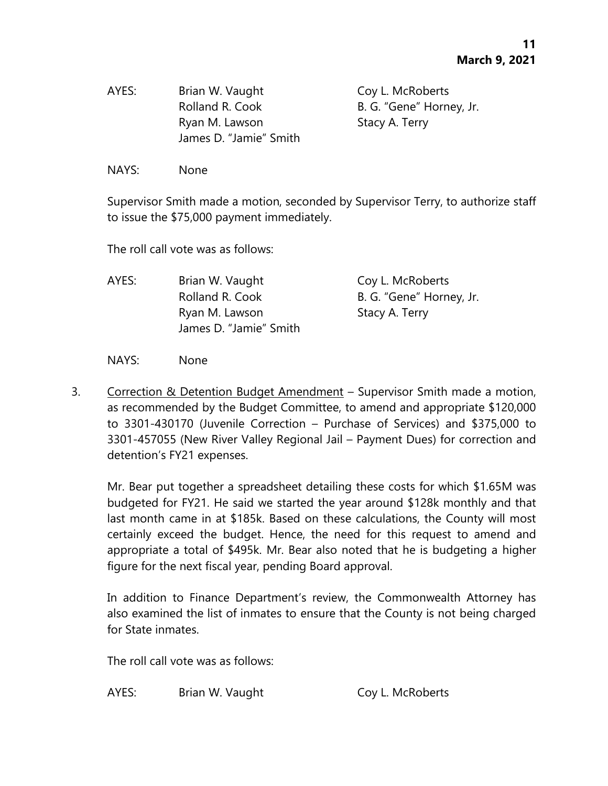| AYES: | Brian W. Vaught        |
|-------|------------------------|
|       | Rolland R. Cook        |
|       | Ryan M. Lawson         |
|       | James D. "Jamie" Smith |

Coy L. McRoberts B. G. "Gene" Horney, Jr. Stacy A. Terry

NAYS: None

Supervisor Smith made a motion, seconded by Supervisor Terry, to authorize staff to issue the \$75,000 payment immediately.

The roll call vote was as follows:

| AYES: | Brian W. Vaught        | Coy L. McRoberts         |
|-------|------------------------|--------------------------|
|       | Rolland R. Cook        | B. G. "Gene" Horney, Jr. |
|       | Ryan M. Lawson         | Stacy A. Terry           |
|       | James D. "Jamie" Smith |                          |

NAYS: None

3. Correction & Detention Budget Amendment – Supervisor Smith made a motion, as recommended by the Budget Committee, to amend and appropriate \$120,000 to 3301-430170 (Juvenile Correction – Purchase of Services) and \$375,000 to 3301-457055 (New River Valley Regional Jail – Payment Dues) for correction and detention's FY21 expenses.

Mr. Bear put together a spreadsheet detailing these costs for which \$1.65M was budgeted for FY21. He said we started the year around \$128k monthly and that last month came in at \$185k. Based on these calculations, the County will most certainly exceed the budget. Hence, the need for this request to amend and appropriate a total of \$495k. Mr. Bear also noted that he is budgeting a higher figure for the next fiscal year, pending Board approval.

In addition to Finance Department's review, the Commonwealth Attorney has also examined the list of inmates to ensure that the County is not being charged for State inmates.

The roll call vote was as follows:

AYES: Brian W. Vaught Coy L. McRoberts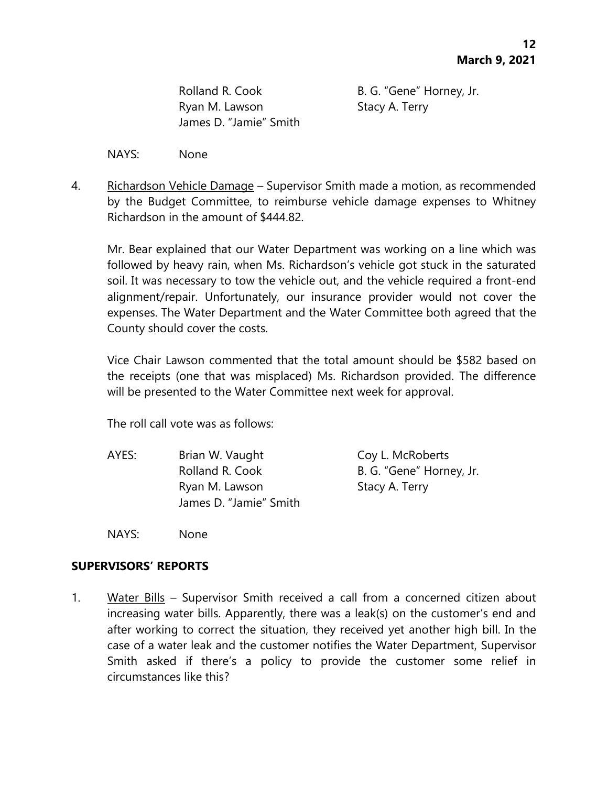Ryan M. Lawson Stacy A. Terry James D. "Jamie" Smith

Rolland R. Cook B. G. "Gene" Horney, Jr.

NAYS: None

4. Richardson Vehicle Damage – Supervisor Smith made a motion, as recommended by the Budget Committee, to reimburse vehicle damage expenses to Whitney Richardson in the amount of \$444.82.

Mr. Bear explained that our Water Department was working on a line which was followed by heavy rain, when Ms. Richardson's vehicle got stuck in the saturated soil. It was necessary to tow the vehicle out, and the vehicle required a front-end alignment/repair. Unfortunately, our insurance provider would not cover the expenses. The Water Department and the Water Committee both agreed that the County should cover the costs.

Vice Chair Lawson commented that the total amount should be \$582 based on the receipts (one that was misplaced) Ms. Richardson provided. The difference will be presented to the Water Committee next week for approval.

The roll call vote was as follows:

AYES: Brian W. Vaught Coy L. McRoberts Rolland R. Cook B. G. "Gene" Horney, Jr. Ryan M. Lawson Stacy A. Terry James D. "Jamie" Smith

NAYS: None

## **SUPERVISORS' REPORTS**

1. Water Bills – Supervisor Smith received a call from a concerned citizen about increasing water bills. Apparently, there was a leak(s) on the customer's end and after working to correct the situation, they received yet another high bill. In the case of a water leak and the customer notifies the Water Department, Supervisor Smith asked if there's a policy to provide the customer some relief in circumstances like this?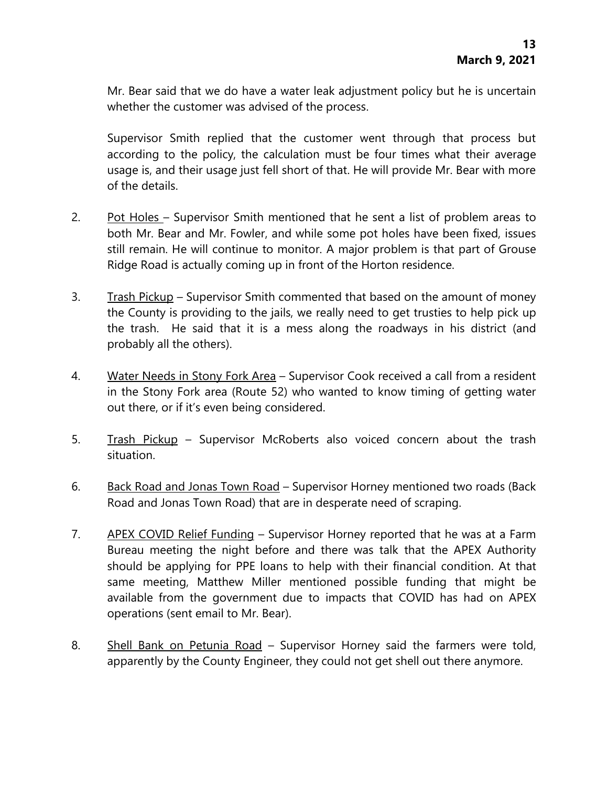Mr. Bear said that we do have a water leak adjustment policy but he is uncertain whether the customer was advised of the process.

Supervisor Smith replied that the customer went through that process but according to the policy, the calculation must be four times what their average usage is, and their usage just fell short of that. He will provide Mr. Bear with more of the details.

- 2. Pot Holes Supervisor Smith mentioned that he sent a list of problem areas to both Mr. Bear and Mr. Fowler, and while some pot holes have been fixed, issues still remain. He will continue to monitor. A major problem is that part of Grouse Ridge Road is actually coming up in front of the Horton residence.
- 3. Trash Pickup Supervisor Smith commented that based on the amount of money the County is providing to the jails, we really need to get trusties to help pick up the trash. He said that it is a mess along the roadways in his district (and probably all the others).
- 4. Water Needs in Stony Fork Area Supervisor Cook received a call from a resident in the Stony Fork area (Route 52) who wanted to know timing of getting water out there, or if it's even being considered.
- 5. Trash Pickup Supervisor McRoberts also voiced concern about the trash situation.
- 6. Back Road and Jonas Town Road Supervisor Horney mentioned two roads (Back Road and Jonas Town Road) that are in desperate need of scraping.
- 7. APEX COVID Relief Funding Supervisor Horney reported that he was at a Farm Bureau meeting the night before and there was talk that the APEX Authority should be applying for PPE loans to help with their financial condition. At that same meeting, Matthew Miller mentioned possible funding that might be available from the government due to impacts that COVID has had on APEX operations (sent email to Mr. Bear).
- 8. Shell Bank on Petunia Road Supervisor Horney said the farmers were told, apparently by the County Engineer, they could not get shell out there anymore.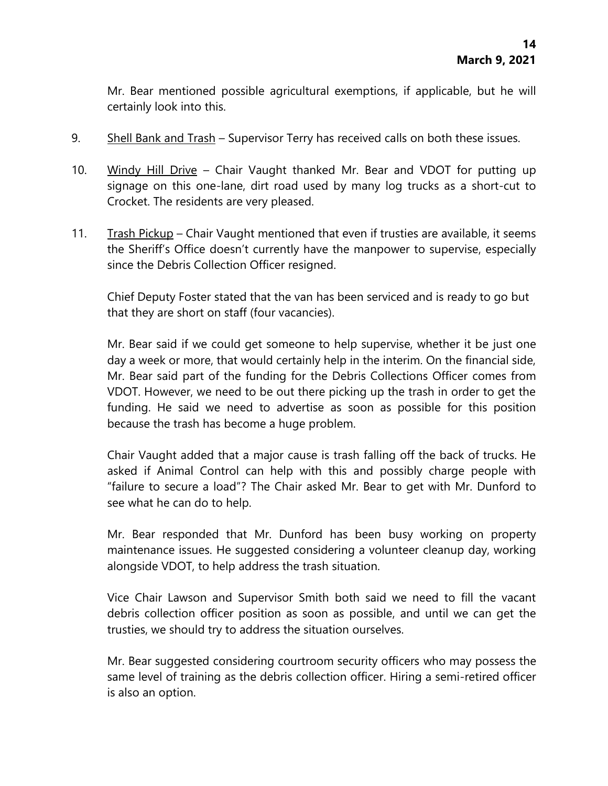Mr. Bear mentioned possible agricultural exemptions, if applicable, but he will certainly look into this.

- 9. Shell Bank and Trash Supervisor Terry has received calls on both these issues.
- 10. Windy Hill Drive Chair Vaught thanked Mr. Bear and VDOT for putting up signage on this one-lane, dirt road used by many log trucks as a short-cut to Crocket. The residents are very pleased.
- 11. Trash Pickup Chair Vaught mentioned that even if trusties are available, it seems the Sheriff's Office doesn't currently have the manpower to supervise, especially since the Debris Collection Officer resigned.

Chief Deputy Foster stated that the van has been serviced and is ready to go but that they are short on staff (four vacancies).

Mr. Bear said if we could get someone to help supervise, whether it be just one day a week or more, that would certainly help in the interim. On the financial side, Mr. Bear said part of the funding for the Debris Collections Officer comes from VDOT. However, we need to be out there picking up the trash in order to get the funding. He said we need to advertise as soon as possible for this position because the trash has become a huge problem.

Chair Vaught added that a major cause is trash falling off the back of trucks. He asked if Animal Control can help with this and possibly charge people with "failure to secure a load"? The Chair asked Mr. Bear to get with Mr. Dunford to see what he can do to help.

Mr. Bear responded that Mr. Dunford has been busy working on property maintenance issues. He suggested considering a volunteer cleanup day, working alongside VDOT, to help address the trash situation.

Vice Chair Lawson and Supervisor Smith both said we need to fill the vacant debris collection officer position as soon as possible, and until we can get the trusties, we should try to address the situation ourselves.

Mr. Bear suggested considering courtroom security officers who may possess the same level of training as the debris collection officer. Hiring a semi-retired officer is also an option.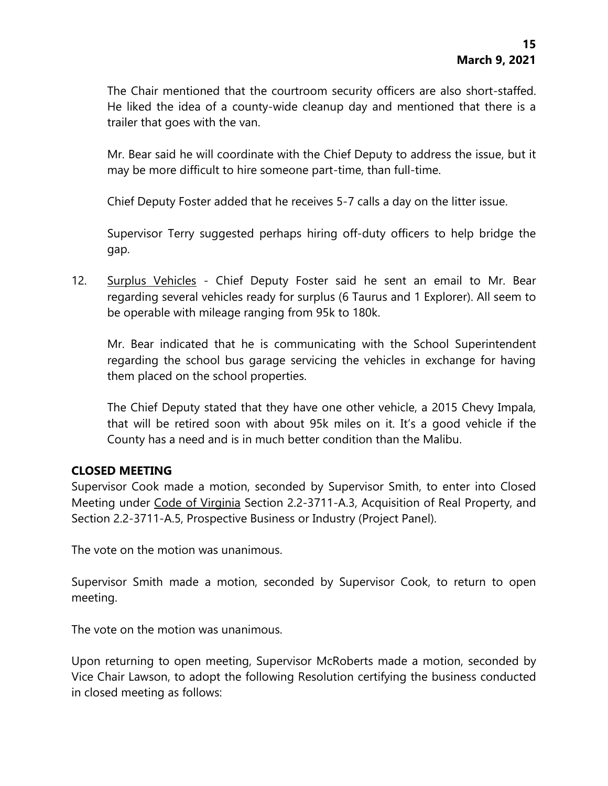The Chair mentioned that the courtroom security officers are also short-staffed. He liked the idea of a county-wide cleanup day and mentioned that there is a trailer that goes with the van.

Mr. Bear said he will coordinate with the Chief Deputy to address the issue, but it may be more difficult to hire someone part-time, than full-time.

Chief Deputy Foster added that he receives 5-7 calls a day on the litter issue.

Supervisor Terry suggested perhaps hiring off-duty officers to help bridge the gap.

12. Surplus Vehicles - Chief Deputy Foster said he sent an email to Mr. Bear regarding several vehicles ready for surplus (6 Taurus and 1 Explorer). All seem to be operable with mileage ranging from 95k to 180k.

Mr. Bear indicated that he is communicating with the School Superintendent regarding the school bus garage servicing the vehicles in exchange for having them placed on the school properties.

The Chief Deputy stated that they have one other vehicle, a 2015 Chevy Impala, that will be retired soon with about 95k miles on it. It's a good vehicle if the County has a need and is in much better condition than the Malibu.

## **CLOSED MEETING**

Supervisor Cook made a motion, seconded by Supervisor Smith, to enter into Closed Meeting under Code of Virginia Section 2.2-3711-A.3, Acquisition of Real Property, and Section 2.2-3711-A.5, Prospective Business or Industry (Project Panel).

The vote on the motion was unanimous.

Supervisor Smith made a motion, seconded by Supervisor Cook, to return to open meeting.

The vote on the motion was unanimous.

Upon returning to open meeting, Supervisor McRoberts made a motion, seconded by Vice Chair Lawson, to adopt the following Resolution certifying the business conducted in closed meeting as follows: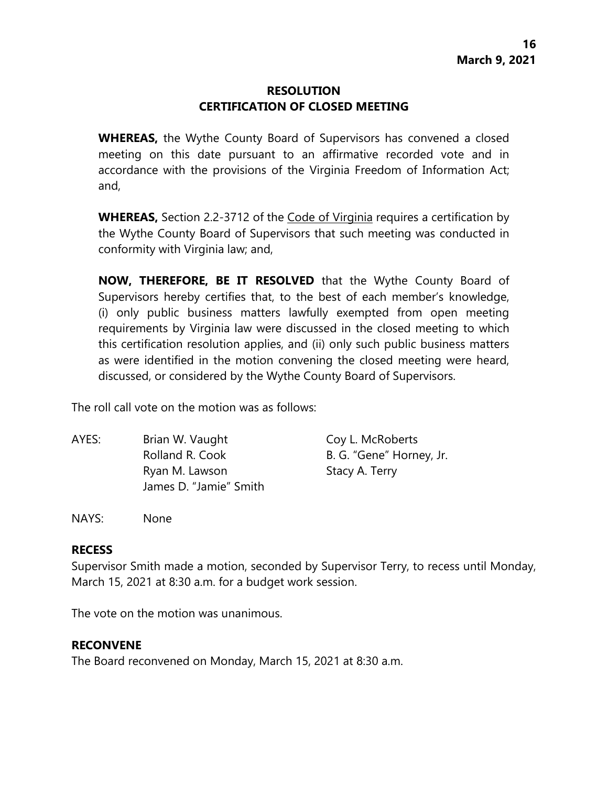# **RESOLUTION CERTIFICATION OF CLOSED MEETING**

**WHEREAS,** the Wythe County Board of Supervisors has convened a closed meeting on this date pursuant to an affirmative recorded vote and in accordance with the provisions of the Virginia Freedom of Information Act; and,

**WHEREAS,** Section 2.2-3712 of the Code of Virginia requires a certification by the Wythe County Board of Supervisors that such meeting was conducted in conformity with Virginia law; and,

**NOW, THEREFORE, BE IT RESOLVED** that the Wythe County Board of Supervisors hereby certifies that, to the best of each member's knowledge, (i) only public business matters lawfully exempted from open meeting requirements by Virginia law were discussed in the closed meeting to which this certification resolution applies, and (ii) only such public business matters as were identified in the motion convening the closed meeting were heard, discussed, or considered by the Wythe County Board of Supervisors.

The roll call vote on the motion was as follows:

| AYES: | Brian W. Vaught        | Coy L. McRoberts         |
|-------|------------------------|--------------------------|
|       | Rolland R. Cook        | B. G. "Gene" Horney, Jr. |
|       | Ryan M. Lawson         | Stacy A. Terry           |
|       | James D. "Jamie" Smith |                          |

NAYS: None

#### **RECESS**

Supervisor Smith made a motion, seconded by Supervisor Terry, to recess until Monday, March 15, 2021 at 8:30 a.m. for a budget work session.

The vote on the motion was unanimous.

## **RECONVENE**

The Board reconvened on Monday, March 15, 2021 at 8:30 a.m.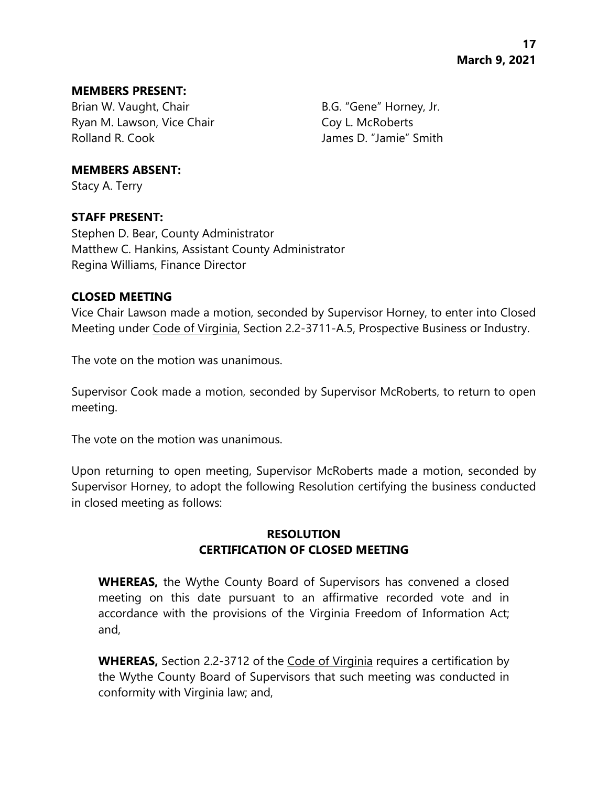#### **MEMBERS PRESENT:**

Brian W. Vaught, Chair B.G. "Gene" Horney, Jr. Ryan M. Lawson, Vice Chair Coy L. McRoberts Rolland R. Cook James D. "Jamie" Smith

**MEMBERS ABSENT:**

Stacy A. Terry

# **STAFF PRESENT:**

Stephen D. Bear, County Administrator Matthew C. Hankins, Assistant County Administrator Regina Williams, Finance Director

# **CLOSED MEETING**

Vice Chair Lawson made a motion, seconded by Supervisor Horney, to enter into Closed Meeting under Code of Virginia, Section 2.2-3711-A.5, Prospective Business or Industry.

The vote on the motion was unanimous.

Supervisor Cook made a motion, seconded by Supervisor McRoberts, to return to open meeting.

The vote on the motion was unanimous.

Upon returning to open meeting, Supervisor McRoberts made a motion, seconded by Supervisor Horney, to adopt the following Resolution certifying the business conducted in closed meeting as follows:

# **RESOLUTION CERTIFICATION OF CLOSED MEETING**

**WHEREAS,** the Wythe County Board of Supervisors has convened a closed meeting on this date pursuant to an affirmative recorded vote and in accordance with the provisions of the Virginia Freedom of Information Act; and,

**WHEREAS,** Section 2.2-3712 of the Code of Virginia requires a certification by the Wythe County Board of Supervisors that such meeting was conducted in conformity with Virginia law; and,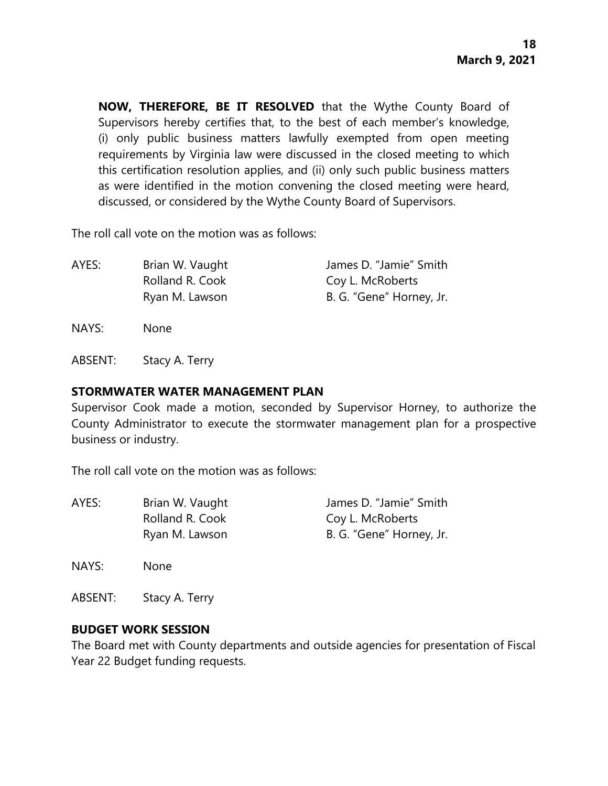**NOW, THEREFORE, BE IT RESOLVED** that the Wythe County Board of Supervisors hereby certifies that, to the best of each member's knowledge, (i) only public business matters lawfully exempted from open meeting requirements by Virginia law were discussed in the closed meeting to which this certification resolution applies, and (ii) only such public business matters as were identified in the motion convening the closed meeting were heard, discussed, or considered by the Wythe County Board of Supervisors.

The roll call vote on the motion was as follows:

AYES: Brian W. Vaught James D. "Jamie" Smith Rolland R. Cook Coy L. McRoberts Ryan M. Lawson B. G. "Gene" Horney, Jr.

NAYS: None

ABSENT: Stacy A. Terry

#### **STORMWATER WATER MANAGEMENT PLAN**

Supervisor Cook made a motion, seconded by Supervisor Horney, to authorize the County Administrator to execute the stormwater management plan for a prospective business or industry.

The roll call vote on the motion was as follows:

| AYES: | Brian W. Vaught | James D. "Jamie" Smith   |
|-------|-----------------|--------------------------|
|       | Rolland R. Cook | Coy L. McRoberts         |
|       | Ryan M. Lawson  | B. G. "Gene" Horney, Jr. |
|       |                 |                          |

NAYS: None

ABSENT: Stacy A. Terry

## **BUDGET WORK SESSION**

The Board met with County departments and outside agencies for presentation of Fiscal Year 22 Budget funding requests.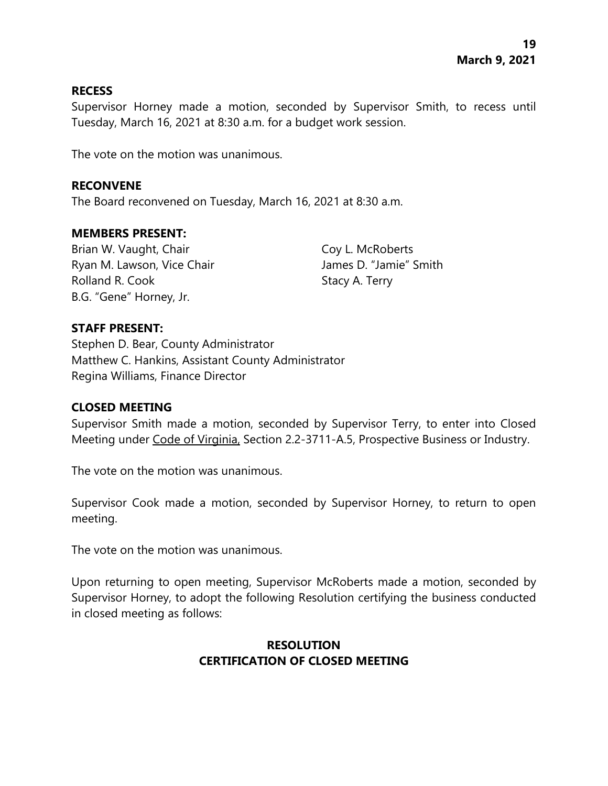#### **RECESS**

Supervisor Horney made a motion, seconded by Supervisor Smith, to recess until Tuesday, March 16, 2021 at 8:30 a.m. for a budget work session.

The vote on the motion was unanimous.

#### **RECONVENE**

The Board reconvened on Tuesday, March 16, 2021 at 8:30 a.m.

#### **MEMBERS PRESENT:**

Brian W. Vaught, Chair Coy L. McRoberts Ryan M. Lawson, Vice Chair **James D. "Jamie"** Smith Rolland R. Cook Stacy A. Terry B.G. "Gene" Horney, Jr.

## **STAFF PRESENT:**

Stephen D. Bear, County Administrator Matthew C. Hankins, Assistant County Administrator Regina Williams, Finance Director

## **CLOSED MEETING**

Supervisor Smith made a motion, seconded by Supervisor Terry, to enter into Closed Meeting under Code of Virginia, Section 2.2-3711-A.5, Prospective Business or Industry.

The vote on the motion was unanimous.

Supervisor Cook made a motion, seconded by Supervisor Horney, to return to open meeting.

The vote on the motion was unanimous.

Upon returning to open meeting, Supervisor McRoberts made a motion, seconded by Supervisor Horney, to adopt the following Resolution certifying the business conducted in closed meeting as follows:

# **RESOLUTION CERTIFICATION OF CLOSED MEETING**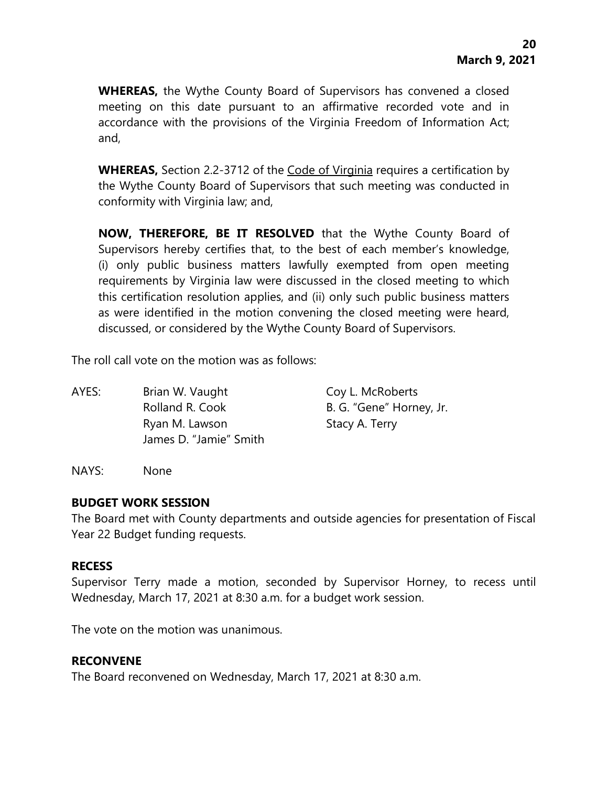**WHEREAS,** the Wythe County Board of Supervisors has convened a closed meeting on this date pursuant to an affirmative recorded vote and in accordance with the provisions of the Virginia Freedom of Information Act; and,

**WHEREAS,** Section 2.2-3712 of the Code of Virginia requires a certification by the Wythe County Board of Supervisors that such meeting was conducted in conformity with Virginia law; and,

**NOW, THEREFORE, BE IT RESOLVED** that the Wythe County Board of Supervisors hereby certifies that, to the best of each member's knowledge, (i) only public business matters lawfully exempted from open meeting requirements by Virginia law were discussed in the closed meeting to which this certification resolution applies, and (ii) only such public business matters as were identified in the motion convening the closed meeting were heard, discussed, or considered by the Wythe County Board of Supervisors.

The roll call vote on the motion was as follows:

AYES: Brian W. Vaught Coy L. McRoberts Rolland R. Cook B. G. "Gene" Horney, Jr. Ryan M. Lawson Stacy A. Terry James D. "Jamie" Smith

NAYS: None

#### **BUDGET WORK SESSION**

The Board met with County departments and outside agencies for presentation of Fiscal Year 22 Budget funding requests.

#### **RECESS**

Supervisor Terry made a motion, seconded by Supervisor Horney, to recess until Wednesday, March 17, 2021 at 8:30 a.m. for a budget work session.

The vote on the motion was unanimous.

#### **RECONVENE**

The Board reconvened on Wednesday, March 17, 2021 at 8:30 a.m.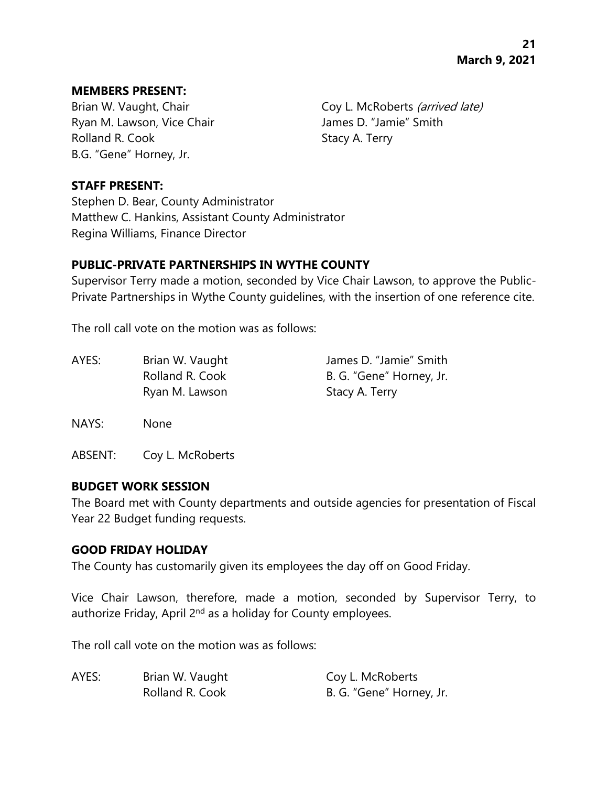#### **MEMBERS PRESENT:**

Ryan M. Lawson, Vice Chair **James D. "Jamie"** Smith Rolland R. Cook Stacy A. Terry B.G. "Gene" Horney, Jr.

Brian W. Vaught, Chair Coy L. McRoberts (arrived late)

## **STAFF PRESENT:**

Stephen D. Bear, County Administrator Matthew C. Hankins, Assistant County Administrator Regina Williams, Finance Director

## **PUBLIC-PRIVATE PARTNERSHIPS IN WYTHE COUNTY**

Supervisor Terry made a motion, seconded by Vice Chair Lawson, to approve the Public-Private Partnerships in Wythe County guidelines, with the insertion of one reference cite.

The roll call vote on the motion was as follows:

| AYES: | Brian W. Vaught | James D. "Jamie" Smith   |
|-------|-----------------|--------------------------|
|       | Rolland R. Cook | B. G. "Gene" Horney, Jr. |
|       | Ryan M. Lawson  | Stacy A. Terry           |

NAYS: None

ABSENT: Coy L. McRoberts

#### **BUDGET WORK SESSION**

The Board met with County departments and outside agencies for presentation of Fiscal Year 22 Budget funding requests.

#### **GOOD FRIDAY HOLIDAY**

The County has customarily given its employees the day off on Good Friday.

Vice Chair Lawson, therefore, made a motion, seconded by Supervisor Terry, to authorize Friday, April 2<sup>nd</sup> as a holiday for County employees.

The roll call vote on the motion was as follows:

| AYES: | Brian W. Vaught | Coy L. McRoberts         |
|-------|-----------------|--------------------------|
|       | Rolland R. Cook | B. G. "Gene" Horney, Jr. |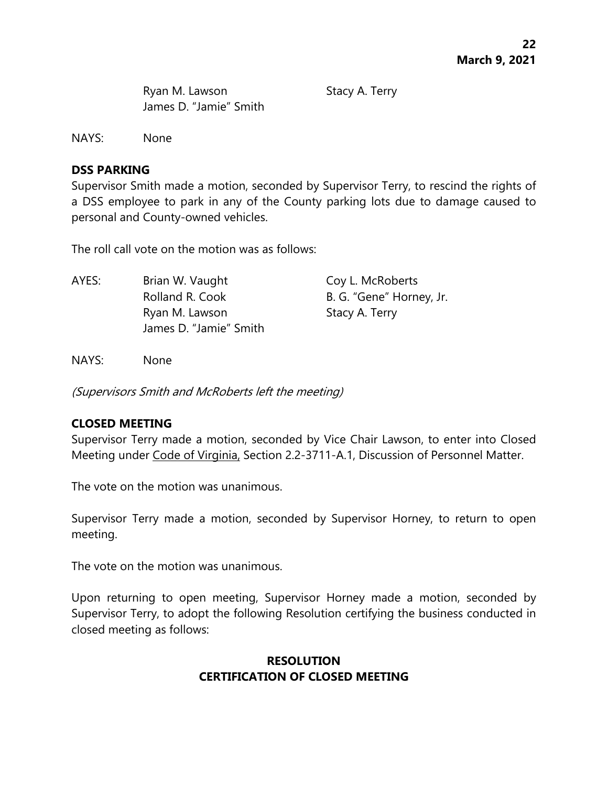Ryan M. Lawson Stacy A. Terry James D. "Jamie" Smith

NAYS: None

#### **DSS PARKING**

Supervisor Smith made a motion, seconded by Supervisor Terry, to rescind the rights of a DSS employee to park in any of the County parking lots due to damage caused to personal and County-owned vehicles.

The roll call vote on the motion was as follows:

AYES: Brian W. Vaught Coy L. McRoberts Rolland R. Cook B. G. "Gene" Horney, Jr. Ryan M. Lawson Stacy A. Terry James D. "Jamie" Smith

NAYS: None

(Supervisors Smith and McRoberts left the meeting)

## **CLOSED MEETING**

Supervisor Terry made a motion, seconded by Vice Chair Lawson, to enter into Closed Meeting under Code of Virginia, Section 2.2-3711-A.1, Discussion of Personnel Matter.

The vote on the motion was unanimous.

Supervisor Terry made a motion, seconded by Supervisor Horney, to return to open meeting.

The vote on the motion was unanimous.

Upon returning to open meeting, Supervisor Horney made a motion, seconded by Supervisor Terry, to adopt the following Resolution certifying the business conducted in closed meeting as follows:

# **RESOLUTION CERTIFICATION OF CLOSED MEETING**